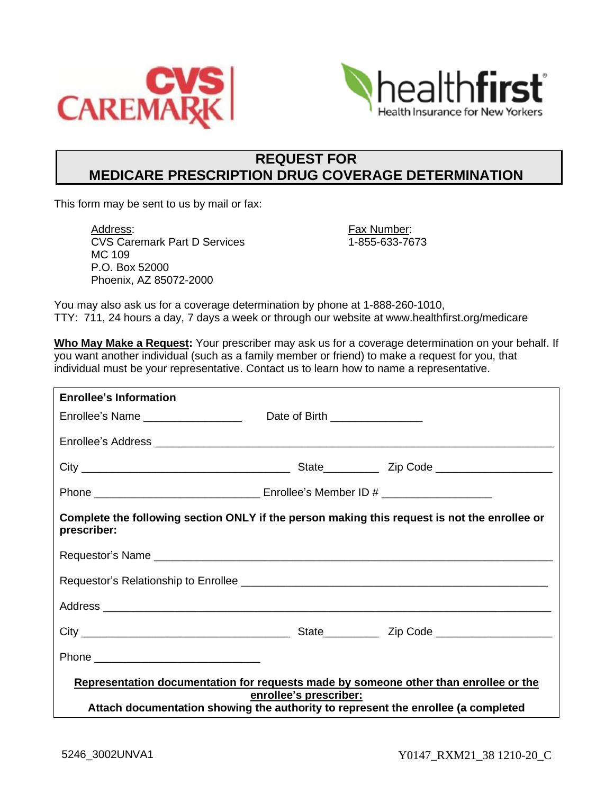



# **REQUEST FOR MEDICARE PRESCRIPTION DRUG COVERAGE DETERMINATION**

This form may be sent to us by mail or fax:

Address: CVS Caremark Part D Services MC 109 P.O. Box 52000 Phoenix, AZ 85072-2000

Fax Number: 1-855-633-7673

You may also ask us for a coverage determination by phone at 1-888-260-1010, TTY: 711, 24 hours a day, 7 days a week or through our website at www.healthfirst.org/medicare

**Who May Make a Request:** Your prescriber may ask us for a coverage determination on your behalf. If you want another individual (such as a family member or friend) to make a request for you, that individual must be your representative. Contact us to learn how to name a representative.

| Enrollee's Name ___________________<br>Date of Birth _________________                                                                                                                              |
|-----------------------------------------------------------------------------------------------------------------------------------------------------------------------------------------------------|
|                                                                                                                                                                                                     |
|                                                                                                                                                                                                     |
|                                                                                                                                                                                                     |
|                                                                                                                                                                                                     |
| Complete the following section ONLY if the person making this request is not the enrollee or<br>prescriber:                                                                                         |
|                                                                                                                                                                                                     |
|                                                                                                                                                                                                     |
|                                                                                                                                                                                                     |
|                                                                                                                                                                                                     |
|                                                                                                                                                                                                     |
| Representation documentation for requests made by someone other than enrollee or the<br>enrollee's prescriber:<br>Attach documentation showing the authority to represent the enrollee (a completed |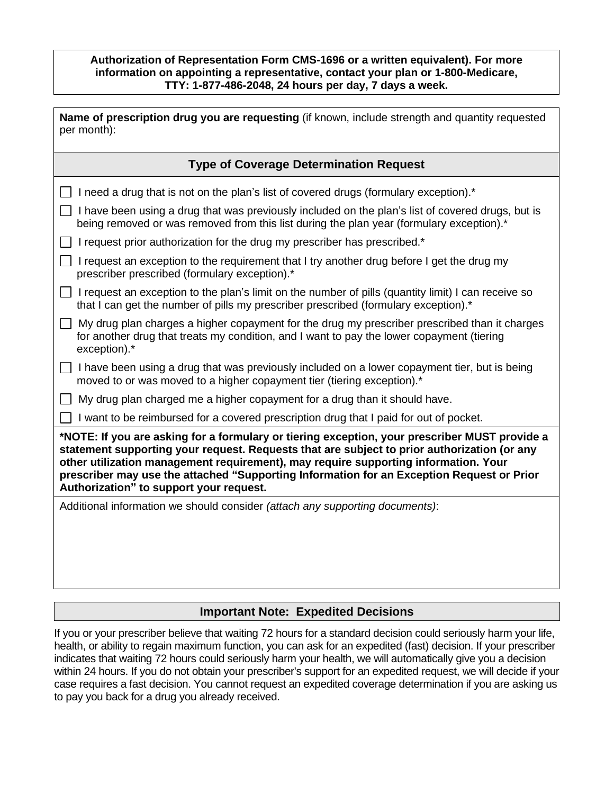#### **Authorization of Representation Form CMS-1696 or a written equivalent). For more information on appointing a representative, contact your plan or 1-800-Medicare, TTY: 1-877-486-2048, 24 hours per day, 7 days a week.**

| Name of prescription drug you are requesting (if known, include strength and quantity requested<br>per month):                                                                                                                                                                                                                                                                                                              |
|-----------------------------------------------------------------------------------------------------------------------------------------------------------------------------------------------------------------------------------------------------------------------------------------------------------------------------------------------------------------------------------------------------------------------------|
| <b>Type of Coverage Determination Request</b>                                                                                                                                                                                                                                                                                                                                                                               |
| I need a drug that is not on the plan's list of covered drugs (formulary exception).*                                                                                                                                                                                                                                                                                                                                       |
| I have been using a drug that was previously included on the plan's list of covered drugs, but is<br>being removed or was removed from this list during the plan year (formulary exception).*                                                                                                                                                                                                                               |
| I request prior authorization for the drug my prescriber has prescribed.*                                                                                                                                                                                                                                                                                                                                                   |
| I request an exception to the requirement that I try another drug before I get the drug my<br>prescriber prescribed (formulary exception).*                                                                                                                                                                                                                                                                                 |
| I request an exception to the plan's limit on the number of pills (quantity limit) I can receive so<br>that I can get the number of pills my prescriber prescribed (formulary exception).*                                                                                                                                                                                                                                  |
| My drug plan charges a higher copayment for the drug my prescriber prescribed than it charges<br>for another drug that treats my condition, and I want to pay the lower copayment (tiering<br>exception).*                                                                                                                                                                                                                  |
| I have been using a drug that was previously included on a lower copayment tier, but is being<br>moved to or was moved to a higher copayment tier (tiering exception).*                                                                                                                                                                                                                                                     |
| My drug plan charged me a higher copayment for a drug than it should have.                                                                                                                                                                                                                                                                                                                                                  |
| I want to be reimbursed for a covered prescription drug that I paid for out of pocket.                                                                                                                                                                                                                                                                                                                                      |
| *NOTE: If you are asking for a formulary or tiering exception, your prescriber MUST provide a<br>statement supporting your request. Requests that are subject to prior authorization (or any<br>other utilization management requirement), may require supporting information. Your<br>prescriber may use the attached "Supporting Information for an Exception Request or Prior<br>Authorization" to support your request. |
| Additional information we should consider (attach any supporting documents):                                                                                                                                                                                                                                                                                                                                                |

# **Important Note: Expedited Decisions**

If you or your prescriber believe that waiting 72 hours for a standard decision could seriously harm your life, health, or ability to regain maximum function, you can ask for an expedited (fast) decision. If your prescriber indicates that waiting 72 hours could seriously harm your health, we will automatically give you a decision within 24 hours. If you do not obtain your prescriber's support for an expedited request, we will decide if your case requires a fast decision. You cannot request an expedited coverage determination if you are asking us to pay you back for a drug you already received.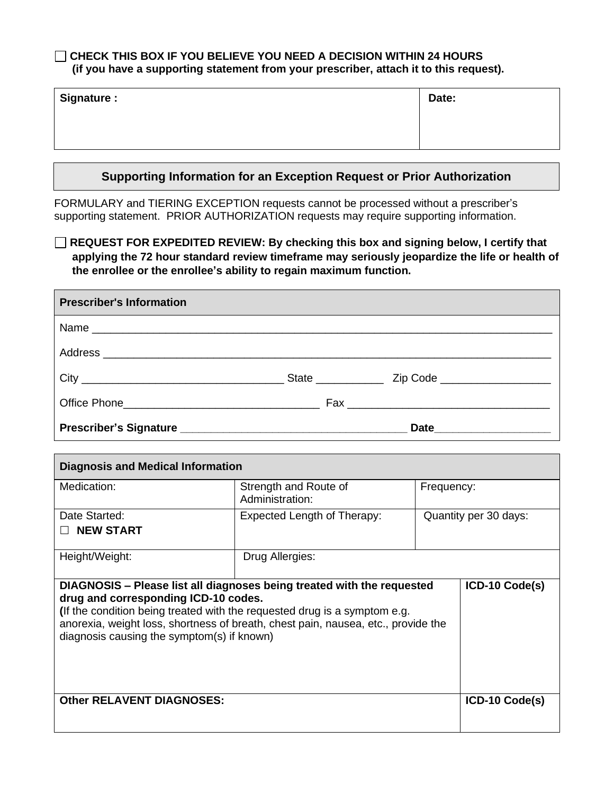#### **CHECK THIS BOX IF YOU BELIEVE YOU NEED A DECISION WITHIN 24 HOURS (if you have a supporting statement from your prescriber, attach it to this request).**

| <b>Signature:</b> | Date: |
|-------------------|-------|
|                   |       |
|                   |       |

## **Supporting Information for an Exception Request or Prior Authorization**

FORMULARY and TIERING EXCEPTION requests cannot be processed without a prescriber's supporting statement. PRIOR AUTHORIZATION requests may require supporting information.

**REQUEST FOR EXPEDITED REVIEW: By checking this box and signing below, I certify that applying the 72 hour standard review timeframe may seriously jeopardize the life or health of the enrollee or the enrollee's ability to regain maximum function.**

| <b>Prescriber's Information</b> |  |
|---------------------------------|--|
|                                 |  |
|                                 |  |
|                                 |  |
|                                 |  |
|                                 |  |

| <b>Diagnosis and Medical Information</b>                                           |                                                                                                                                                                                                                                          |            |                       |
|------------------------------------------------------------------------------------|------------------------------------------------------------------------------------------------------------------------------------------------------------------------------------------------------------------------------------------|------------|-----------------------|
| Medication:                                                                        | Strength and Route of<br>Administration:                                                                                                                                                                                                 | Frequency: |                       |
| Date Started:                                                                      | Expected Length of Therapy:                                                                                                                                                                                                              |            | Quantity per 30 days: |
| <b>NEW START</b><br>$\mathbf{1}$                                                   |                                                                                                                                                                                                                                          |            |                       |
| Height/Weight:                                                                     | Drug Allergies:                                                                                                                                                                                                                          |            |                       |
| drug and corresponding ICD-10 codes.<br>diagnosis causing the symptom(s) if known) | DIAGNOSIS - Please list all diagnoses being treated with the requested<br>(If the condition being treated with the requested drug is a symptom e.g.<br>anorexia, weight loss, shortness of breath, chest pain, nausea, etc., provide the |            | ICD-10 Code(s)        |
| <b>Other RELAVENT DIAGNOSES:</b>                                                   |                                                                                                                                                                                                                                          |            | ICD-10 Code(s)        |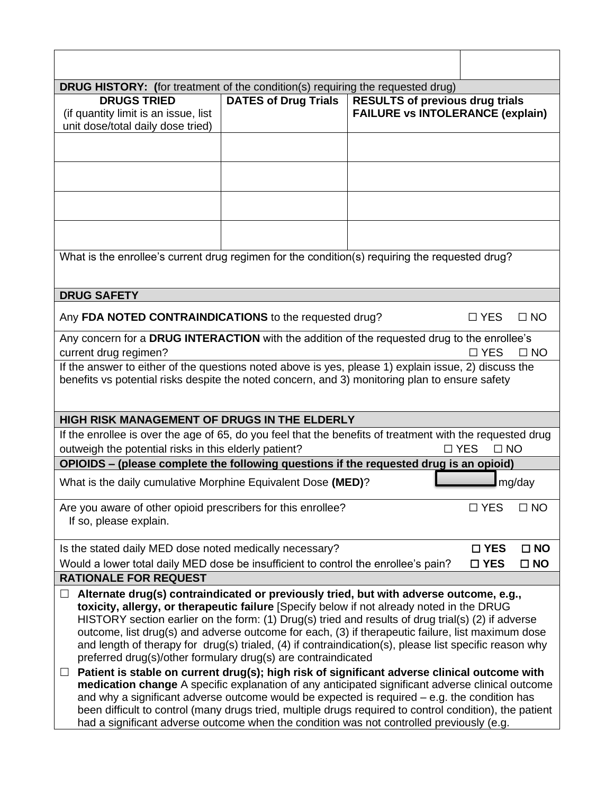| DRUG HISTORY: (for treatment of the condition(s) requiring the requested drug)                                                                                                                               |                             |                                                                                   |               |              |
|--------------------------------------------------------------------------------------------------------------------------------------------------------------------------------------------------------------|-----------------------------|-----------------------------------------------------------------------------------|---------------|--------------|
| <b>DRUGS TRIED</b><br>(if quantity limit is an issue, list<br>unit dose/total daily dose tried)                                                                                                              | <b>DATES of Drug Trials</b> | <b>RESULTS of previous drug trials</b><br><b>FAILURE vs INTOLERANCE (explain)</b> |               |              |
|                                                                                                                                                                                                              |                             |                                                                                   |               |              |
|                                                                                                                                                                                                              |                             |                                                                                   |               |              |
|                                                                                                                                                                                                              |                             |                                                                                   |               |              |
|                                                                                                                                                                                                              |                             |                                                                                   |               |              |
|                                                                                                                                                                                                              |                             |                                                                                   |               |              |
| What is the enrollee's current drug regimen for the condition(s) requiring the requested drug?                                                                                                               |                             |                                                                                   |               |              |
|                                                                                                                                                                                                              |                             |                                                                                   |               |              |
| <b>DRUG SAFETY</b>                                                                                                                                                                                           |                             |                                                                                   |               |              |
| Any FDA NOTED CONTRAINDICATIONS to the requested drug?                                                                                                                                                       |                             |                                                                                   | $\Box$ YES    | $\Box$ NO    |
| Any concern for a DRUG INTERACTION with the addition of the requested drug to the enrollee's                                                                                                                 |                             |                                                                                   |               |              |
| current drug regimen?                                                                                                                                                                                        |                             |                                                                                   | $\Box$ YES    | $\Box$ NO    |
| If the answer to either of the questions noted above is yes, please 1) explain issue, 2) discuss the<br>benefits vs potential risks despite the noted concern, and 3) monitoring plan to ensure safety       |                             |                                                                                   |               |              |
|                                                                                                                                                                                                              |                             |                                                                                   |               |              |
| HIGH RISK MANAGEMENT OF DRUGS IN THE ELDERLY                                                                                                                                                                 |                             |                                                                                   |               |              |
| If the enrollee is over the age of 65, do you feel that the benefits of treatment with the requested drug<br>outweigh the potential risks in this elderly patient?                                           |                             | $\Box$ YES                                                                        | $\Box$ NO     |              |
| OPIOIDS - (please complete the following questions if the requested drug is an opioid)                                                                                                                       |                             |                                                                                   |               |              |
| What is the daily cumulative Morphine Equivalent Dose (MED)?                                                                                                                                                 |                             |                                                                                   |               | mg/day       |
| Are you aware of other opioid prescribers for this enrollee?                                                                                                                                                 |                             |                                                                                   | $\square$ YES | $\square$ NO |
| If so, please explain.                                                                                                                                                                                       |                             |                                                                                   |               |              |
| Is the stated daily MED dose noted medically necessary?                                                                                                                                                      |                             |                                                                                   | $\square$ YES | $\square$ NO |
| Would a lower total daily MED dose be insufficient to control the enrollee's pain?                                                                                                                           |                             |                                                                                   | $\square$ YES | $\square$ NO |
| <b>RATIONALE FOR REQUEST</b>                                                                                                                                                                                 |                             |                                                                                   |               |              |
| Alternate drug(s) contraindicated or previously tried, but with adverse outcome, e.g.,<br>$\Box$<br>toxicity, allergy, or therapeutic failure [Specify below if not already noted in the DRUG                |                             |                                                                                   |               |              |
| HISTORY section earlier on the form: (1) Drug(s) tried and results of drug trial(s) (2) if adverse                                                                                                           |                             |                                                                                   |               |              |
| outcome, list drug(s) and adverse outcome for each, (3) if therapeutic failure, list maximum dose                                                                                                            |                             |                                                                                   |               |              |
| and length of therapy for drug(s) trialed, (4) if contraindication(s), please list specific reason why                                                                                                       |                             |                                                                                   |               |              |
| preferred drug(s)/other formulary drug(s) are contraindicated                                                                                                                                                |                             |                                                                                   |               |              |
| Patient is stable on current drug(s); high risk of significant adverse clinical outcome with<br>$\sqcup$<br>medication change A specific explanation of any anticipated significant adverse clinical outcome |                             |                                                                                   |               |              |
| and why a significant adverse outcome would be expected is required $-$ e.g. the condition has                                                                                                               |                             |                                                                                   |               |              |
| been difficult to control (many drugs tried, multiple drugs required to control condition), the patient                                                                                                      |                             |                                                                                   |               |              |
| had a significant adverse outcome when the condition was not controlled previously (e.g.                                                                                                                     |                             |                                                                                   |               |              |